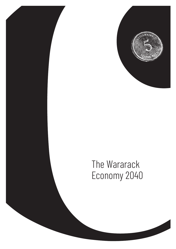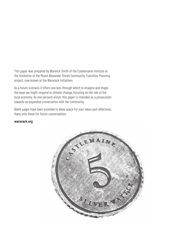This paper was prepared by Warwick Smith of the Castlemaine Institute at the inivitation of the Mount Alexander Shire's Community Transition Planning project, now known at the Wararack Initiatives.

As a future scenario it offers one lens through which to imagine and shape the ways we might respond to climate change, focusing on the role of the local economy. As one person's vision, this paper is intended as a provocation towards an expanded conversation with the community.

Blank pages have been provided to allow space for your ideas and reflections. Hang onto these for future conversations.

#### **wararack.org**

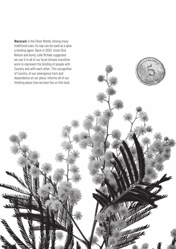Wararack is the Silver Wattle. Among many traditional uses, its sap can be used as a glue, a binding agent. Back in 2020, Uncle Rick Nelson and Aunty Julie McHale suggested we use it in all of our local climate transition work to represent the binding of people with Country and with each other. This recognition of Country, of our emergence from and dependence on our place, informs all of our thinking about how we best live on this land.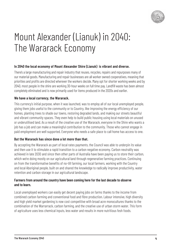

### Mount Alexander (Lianuk) in 2040: The Wararack Economy

#### **In 2040 the local economy of Mount Alexander Shire (Lianuk) is vibrant and diverse.**

There's a large manufacturing and repair industry that reuses, recycles, repairs and repurposes many of our material goods. Manufacturing and repair businesses are all worker owned cooperatives, meaning that priorities and profits are directed wherever the workers decide. Many opt for shorter working weeks and by 2040, most people in the shire are working 30-hour weeks on full time pay. Landfill waste has been almost completely eliminated and is now primarily used for items produced in the 2020s and earlier.

#### **We have a local currency, the Wararack.**

This currency's initial purpose, when it was launched, was to employ all of our local unemployed people, giving them jobs useful to the community or to Country, like improving the energy efficiency of our homes, planting trees to shade our towns, restoring degraded lands, and making our streets beautiful and vibrant community spaces. They even help to build public housing using local materials on unused or underutilised land. As a result of the creative use of the Wararack, everyone in the Shire who wants a job has a job and can make a meaningful contribution to the community. Those who cannot engage in paid employment are well supported. Everyone who needs a safe place to call home has access to one.

#### **But the Wararack has since done a lot more than that.**

By accepting the Wararack as part of local rates payments, the Council was able to underpin its value and then use it to stimulate a rapid transition to a carbon negative economy. Carbon neutrality was achieved in late 2030 and since then other parts of Australia have been paying us to store their carbon, which we're doing mostly on our agricultural land through regenerative farming practices. Continuing on from the transformative benefits of no-till farming, our local farmers, working with the Country and local Aboriginal people, built on and shared the knowledge to radically improve productivity, water retention and carbon storage in our agricultural landscape.

#### **Farmers from around the country have been coming here for the last decade to observe and to learn.**

Local unemployed workers can easily get decent paying jobs on farms thanks to the income from combined carbon farming and conventional food and fibre production. Labour intensive, high diversity and high yield market gardening is now cost competitive with broad acre monocultures thanks to the combination of the Warrarrack, carbon farming, and the creative use of urban storm water. This form of agriculture uses less chemical inputs, less water and results in more nutritious fesh foods.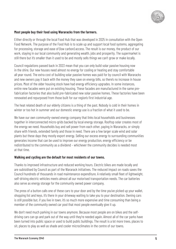

#### **Most people buy their food using Wararacks from the farmers.**

Either directly or through the local Food Hub that was developed in 2025 in consultation with the Open Food Network. The purpose of the Food Hub is to scale up and support local food systems, aggregating for processing, storage and ease of (low carbon) access. The result is our money, the product of our work, staying in our local community and generating wealth, jobs and prosperity. The supermarket is still there but it's smaller than it used to be and mostly sells things we can't grow or make locally.

Council regulations passed back in 2023 mean that you can only build solar passive housing now in the shire. Our new houses need almost no energy for cooling or heating and stay comfortable all year round. The extra cost of building solar passive homes was paid for by council with Wararacks and new owners pay it back with the money they save on energy bills, so there's no increase in house prices. Most of the older housing stock have had energy efficiency upgrades. In some instances, entire new facades were put on existing housing. These facades are manufactured in the same prefabrication factories that also build pre-fabricated new solar passive homes. These factories have been renovated and repurposed from those built for our region's first industrial age.

The heat related death of our elderly citizens is a thing of the past. Nobody is cold in their homes in winter or too hot in summer and our domestic energy use is a fraction of what it used to be.

We have our own community-owned energy company that links local households and businesses together in interconnected micro-grids backed by local energy storage. Rooftop solar creates most of the energy we need. Households buy and sell power from each other, paying in Wararacks, or simply share with friends, extended family and those in need. There are a few larger scale wind and solar plants but these days they mostly export energy. Selling our excess energy to surrounding communities generates income that can be used to improve our energy production, energy efficiency or be redistributed to the community as a dividend – whichever the community decides is needed most at that time.

#### **Walking and cycling are the default for most residents of our towns.**

Thanks to improved infrastructure and reduced working hours. Electric bikes are made locally and are subisidised by Council as part of the Wararack initiatives. The reduced impact on roads saves the Council hundreds of thousands in road maintenance expenditure. A relatively small fleet of lightweight, self-driving electric vehicles meets almost all our motorised transportation needs. The car batteries also serve as energy storage for the community owned power company.

The press of a button calls one of these cars to your door and by the time you've picked up your wallet, shopping list and keys, it's there in your driveway waiting to take you to your destination. Owning cars is still possible but, if you live in town, it's so much more expensive and time consuming than being a member of the community owned car pool that most people eventually give it up.

We don't need much parking in our towns anymore. Because most people are on bikes and the selfdriving cars can go and park out of the way until they're needed again. Almost all of the car parks have been turned into public space or used to build public buildings. The result is a lot more trees, places to sit, places to play as well as shade and cooler microclimates in the centre of our towns.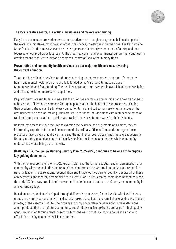

#### **The local creative sector, our artists, musicians and makers are thriving.**

Many local businesses are worker owned cooperatives and, through a program subsidised as part of the Wararack initiatives, most have an artist in residence, sometimes more than one. The Castlemaine State Festival is still a massive event every two years and is strongly connected to Country and more focussed on our prodigious local talent. The creative, vibrant and experimental culture that continues to develop means that Central Victoria becomes a centre of innovation in many fields.

#### **Preventative and community health services are our major health services, reversing the current situation.**

Treatment based health services are there as a backup to the preventative programs. Community health and mental health programs are fully funded using Wararacks to make up gaps in Commonwealth and State funding. The result is a dramatic improvement in overall health and wellbeing and a fitter, healthier, more active population.

Regular forums are run to determine what the priorities are for our communities and how we can best achieve them. Elders are aware and Aboriginal people are at the heart of these processes, bringing their wisdom, patience, and a timeless connection to this land to bear on resolving the issues of the day. Deliberative decision-making juries are set up for important decisions with members selected at random from the population — paid in Wararacks if they have to miss work for their civic duty.

Deliberative processes take the time to examine the evidence and arguments on all sides, they're informed by experts, but the decisions are made by ordinary citizens. Time and time again these processes have proven that, if given time and the right resources, citizen juries make great decisions. Not only are they good decisions but inclusive decision-making means that the whole community understands what's being done and why.

#### **Dhelkunya Dja, the Dja Dja Wurrung Country Plan, 2035-2055, continues to be one of the region's key guiding documents.**

With the full resourcing of the first (2014-2034) plan and the formal adoption and implementation of a community wide reconciliation and recognition plan through the Wararack Initiatives, our region is a national leader in race relations, reconciliation and Indigenous led care of Country. Despite all of these achievements, the monthly ceremonial fire in Victory Park in Castlemaine, that's been happening since the early 2020s, always reminds of the work still to be done and that care of Country and community is a never-ending task.

Based on strategic plans developed through deliberative processes, Council works with local industry groups to diversify our economy. This diversity makes us resilient to external shocks and self-sufficient in many of the essentials of life. The circular economy cooperative helps residents make decisions about products that are built to last and to be repaired. Expensive up-front purchases for high quality goods are enabled through rental or rent-to-buy schemes so that low income households can also afford high quality goods that will last a lifetime.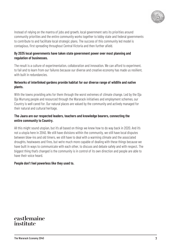

Instead of relying on the mantra of jobs and growth, local government sets its priorities around community priorities and the entire community works together to lobby state and federal governments to contribute to and facilitate local strategic plans. The success of this community led model is contagious, first spreading throughout Central Victoria and then further afield.

#### **By 2035 local governments have taken state government power over most planning and regulation of businesses.**

The result is a culture of experimentation, collaboration and innovation. We can afford to experiment, to fail and to learn from our failures because our diverse and creative economy has made us resilient, with built in redundancies.

#### **Networks of interlinked gardens provide habitat for our diverse range of wildlife and native plants.**

With the towns providing arks for them through the worst extremes of climate change. Led by the Dja Dja Wurrung people and resourced through the Wararack initiatives and employment schemes, our Country is well cared for. Our natural places are valued by the community and actively managed for their natural and cultural heritage.

#### **The Jaara are our respected leaders, teachers and knowledge bearers, connecting the entire community to Country.**

All this might sound utopian, but it's all based on things we knew how to do way back in 2020. And it's not a utopia here in 2040. We still have divisions within the community, we still have local disputes between blow-ins and old timers, we still have to deal with a warming climate and the associated droughts, heatwaves and fires, but we're much more capable of dealing with these things because we have built in ways to communicate with each other, to discuss and debate safely and with respect. The biggest thing that's changed is the community is in control of its own direction and people are able to have their voice heard.

#### **People don't feel powerless like they used to.**

### castlemaine institute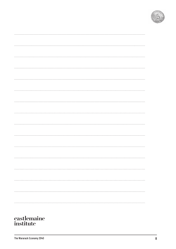

The Wararack Economy 2040 **8**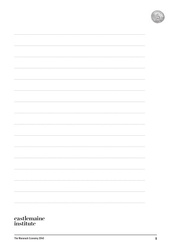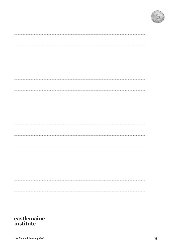